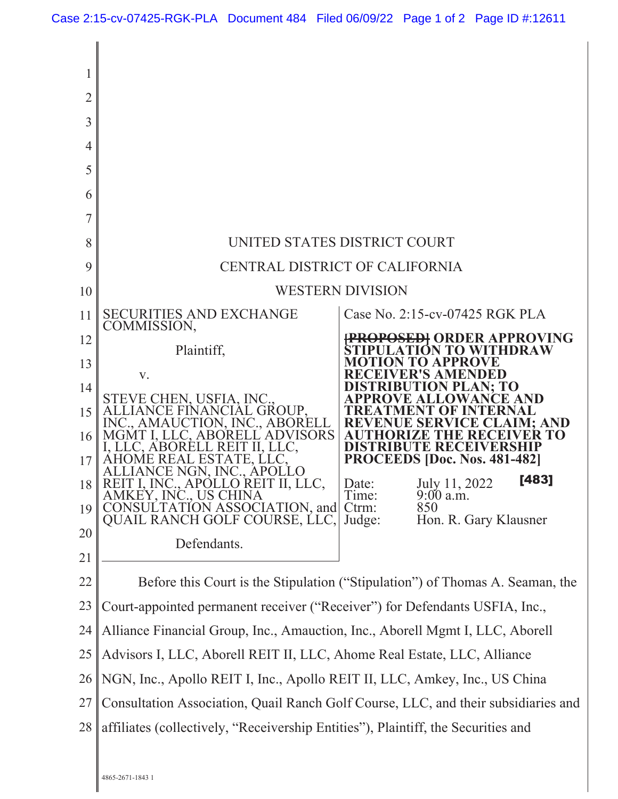| 2<br>3<br>4<br>5<br>6<br>7<br>8<br>9<br>10<br>11<br>12<br>13<br>14<br>15<br>16<br>17<br>18 <sup>1</sup><br>19<br>20 | <b>SECURITIES AND EXCHANGE</b><br>COMMISSION,<br>Plaintiff,<br>V.<br>STEVE CHEN, USFIA, INC.,<br>ALLIANCE FINANCIAL GROUP,<br>INC., AMAUCTION, INC., ABORELL<br><b>ADVISORS</b><br>MGMT I, LLC, ABO<br>I, LLC, ABOREI<br>REIT II, LLC.<br>REAL ESTATE, LLC.<br>ICE NGN, INC., APOI<br>REIT I. INC., APOLLO REI<br>AMKEY, INC., US CHINA<br>NSULTATION ASSOCIATION, and<br>CO.<br>QUAIL RANCH GOLF COURSE, LLC,<br>Defendants. | UNITED STATES DISTRICT COURT<br>CENTRAL DISTRICT OF CALIFORNIA<br><b>WESTERN DIVISION</b><br>Case No. 2:15-cv-07425 RGK PLA<br><b>RDER APPROVING</b><br><b>TO WITHDRAW</b><br>ER'S AMENDED<br>N PLAN: TO<br>K F.<br><b>DISTRIBUTE RECEIVERSHIP</b><br>PROCEEDS [Doc. Nos. 481-482]<br>[483]<br>July 11, 2022<br>Date:<br>$9:00$ a.m.<br>Time:<br>Ctrm:<br>850<br>Hon. R. Gary Klausner<br>Judge: |
|---------------------------------------------------------------------------------------------------------------------|-------------------------------------------------------------------------------------------------------------------------------------------------------------------------------------------------------------------------------------------------------------------------------------------------------------------------------------------------------------------------------------------------------------------------------|--------------------------------------------------------------------------------------------------------------------------------------------------------------------------------------------------------------------------------------------------------------------------------------------------------------------------------------------------------------------------------------------------|
| 21<br>22                                                                                                            | Before this Court is the Stipulation ("Stipulation") of Thomas A. Seaman, the                                                                                                                                                                                                                                                                                                                                                 |                                                                                                                                                                                                                                                                                                                                                                                                  |
| 23                                                                                                                  | Court-appointed permanent receiver ("Receiver") for Defendants USFIA, Inc.,                                                                                                                                                                                                                                                                                                                                                   |                                                                                                                                                                                                                                                                                                                                                                                                  |
| 24                                                                                                                  | Alliance Financial Group, Inc., Amauction, Inc., Aborell Mgmt I, LLC, Aborell                                                                                                                                                                                                                                                                                                                                                 |                                                                                                                                                                                                                                                                                                                                                                                                  |
| 25                                                                                                                  | Advisors I, LLC, Aborell REIT II, LLC, Ahome Real Estate, LLC, Alliance                                                                                                                                                                                                                                                                                                                                                       |                                                                                                                                                                                                                                                                                                                                                                                                  |
| 26                                                                                                                  | NGN, Inc., Apollo REIT I, Inc., Apollo REIT II, LLC, Amkey, Inc., US China                                                                                                                                                                                                                                                                                                                                                    |                                                                                                                                                                                                                                                                                                                                                                                                  |
| 27                                                                                                                  | Consultation Association, Quail Ranch Golf Course, LLC, and their subsidiaries and                                                                                                                                                                                                                                                                                                                                            |                                                                                                                                                                                                                                                                                                                                                                                                  |
| 28                                                                                                                  | affiliates (collectively, "Receivership Entities"), Plaintiff, the Securities and                                                                                                                                                                                                                                                                                                                                             |                                                                                                                                                                                                                                                                                                                                                                                                  |